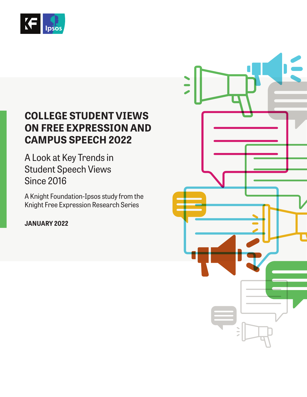

## **COLLEGE STUDENT VIEWS ON FREE EXPRESSION AND CAMPUS SPEECH 2022**

A Look at Key Trends in Student Speech Views Since 2016

A Knight Foundation-Ipsos study from the Knight Free Expression Research Series

**JANUARY 2022**

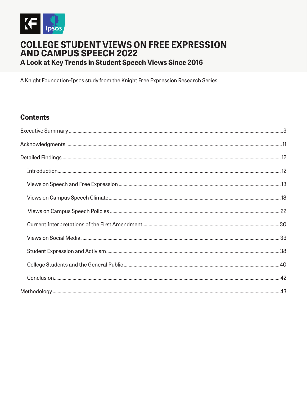

# **COLLEGE STUDENT VIEWS ON FREE EXPRESSION<br>AND CAMPUS SPEECH 2022** A Look at Key Trends in Student Speech Views Since 2016

A Knight Foundation-Ipsos study from the Knight Free Expression Research Series

## **Contents**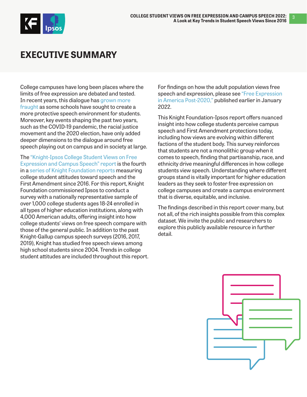<span id="page-2-0"></span>

## **EXECUTIVE SUMMARY**

College campuses have long been places where the limits of free expression are debated and tested. In recent years, this dialogue has [grown more](https://www.niskanencenter.org/there-is-no-campus-free-speech-crisis-a-close-look-at-the-evidence/)  [fraught](https://www.niskanencenter.org/there-is-no-campus-free-speech-crisis-a-close-look-at-the-evidence/) as some schools have sought to create a more protective speech environment for students. Moreover, key events shaping the past two years, such as the COVID-19 pandemic, the racial justice movement and the 2020 election, have only added deeper dimensions to the dialogue around free speech playing out on campus and in society at large.

The ["Knight-Ipsos College Student Views on Free](http://KF.org/kfxcollege)  [Expression and Campus Speech" report](http://KF.org/kfxcollege) is the fourth in a [series of Knight Foundation reports](https://knightfoundation.org/topics/freedom-of-expression/) measuring college student attitudes toward speech and the First Amendment since 2016. For this report, Knight Foundation commissioned Ipsos to conduct a survey with a nationally representative sample of over 1,000 college students ages 18-24 enrolled in all types of higher education institutions, along with 4,000 American adults, offering insight into how college students' views on free speech compare with those of the general public. In addition to the past Knight-Gallup campus speech surveys (2016, 2017, 2019), Knight has studied free speech views among high school students since 2004. Trends in college student attitudes are included throughout this report.

For findings on how the adult population views free speech and expression, please see ["Free Expression](http://kf.org/freespeechrights)  [in America Post-2020](http://kf.org/freespeechrights)," published earlier in January 2022.

This Knight Foundation-Ipsos report offers nuanced insight into how college students perceive campus speech and First Amendment protections today, including how views are evolving within different factions of the student body. This survey reinforces that students are not a monolithic group when it comes to speech, finding that partisanship, race, and ethnicity drive meaningful differences in how college students view speech. Understanding where different groups stand is vitally important for higher education leaders as they seek to foster free expression on college campuses and create a campus environment that is diverse, equitable, and inclusive.

The findings described in this report cover many, but not all, of the rich insights possible from this complex dataset. We invite the public and researchers to explore this publicly available resource in further detail.

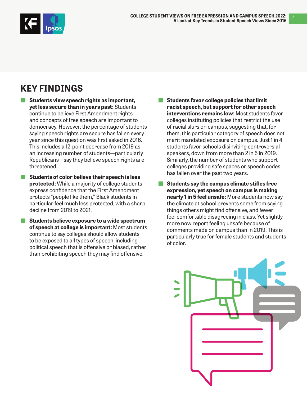

4

## **KEY FINDINGS**

- Students view speech rights as important, **yet less secure than in years past:** Students continue to believe First Amendment rights and concepts of free speech are important to democracy. However, the percentage of students saying speech rights are secure has fallen every year since this question was first asked in 2016. This includes a 12-point decrease from 2019 as an increasing number of students—particularly Republicans—say they believe speech rights are threatened.
	- **Students of color believe their speech is less protected:** While a majority of college students express confidence that the First Amendment protects "people like them," Black students in particular feel much less protected, with a sharp decline from 2019 to 2021.
	- **Students believe exposure to a wide spectrum of speech at college is important:** Most students continue to say colleges should allow students to be exposed to all types of speech, including political speech that is offensive or biased, rather than prohibiting speech they may find offensive.
- **Students favor college policies that limit racist speech, but support for other speech interventions remains low:** Most students favor colleges instituting policies that restrict the use of racial slurs on campus, suggesting that, for them, this particular category of speech does not merit mandated exposure on campus. Just 1 in 4 students favor schools disinviting controversial speakers, down from more than 2 in 5 in 2019. Similarly, the number of students who support colleges providing safe spaces or speech codes has fallen over the past two years.
- **Students say the campus climate stifles free expression, yet speech on campus is making nearly 1 in 5 feel unsafe:** More students now say the climate at school prevents some from saying things others might find offensive, and fewer feel comfortable disagreeing in class. Yet slightly more now report feeling unsafe because of comments made on campus than in 2019. This is particularly true for female students and students of color.

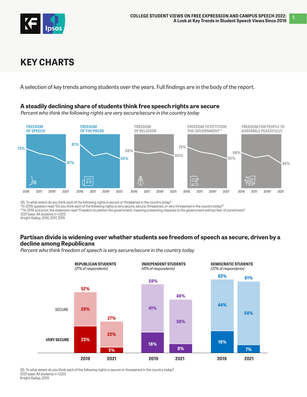

## **KEY CHARTS**

A selection of key trends among students over the years. Full findings are in the body of the report.

#### **A steadily declining share of students think free speech rights are secure**

Percent who think the following rights are very secure/secure in the country today



Q5. To what extent do you think each of the following rights is secure or threatened in the country today?<br>\*In 2019, question read "Do you think each of the following rights is very secure, secure, threatened, or very thre

\*\*In 2019 and prior, the statement read "Freedom to petition the government, meaning presenting requests to the government without fear of punishment" 2021 base: All students n=1,023

Knight-Gallup, 2016, 2017, 2019

### **Partisan divide is widening over whether students see freedom of speech as secure, driven by a decline among Republicans**

Percent who think freedom of speech is very secure/secure in the country today



Q5. To what extent do you think each of the following rights is secure or threatened in the country today? 2021 base: All students n=1,023 Knight-Gallup, 2019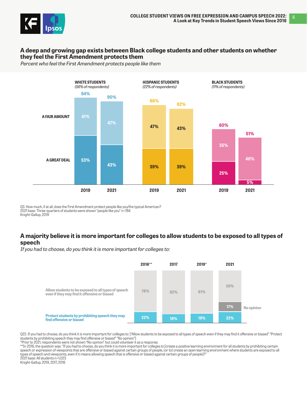

#### **A deep and growing gap exists between Black college students and other students on whether they feel the First Amendment protects them**

Percent who feel the First Amendment protects people like them



Q3. How much, if at all, does the First Amendment protect people like you/the typical American? 2021 base: Three-quarters of students were shown "people like you" n=784 Knight-Gallup, 2019

#### **A majority believe it is more important for colleges to allow students to be exposed to all types of speech**

If you had to choose, do you think it is more important for colleges to:



Q22. If you had to choose, do you think it is more important for colleges to: ["Allow students to be exposed to all types of speech even if they may find it offensive or biased" "Protect students by prohibiting speech they may find offensive or biased" "No opinion"]

\*Prior to 2021, respondents were not shown "No opinion" but could volunteer it as a response.

\*\*In 2016, the question was: "If you had to choose, do you think it is more important for colleges to [create a positive learning environment for all students by prohibiting certain speech or expression of viewpoints that are offensive or biased against certain groups of people, (or to) create an open learning environment where students are exposed to all types of speech and viewpoints, even if it means allowing speech that is offensive or biased against certain groups of people]?" 2021 base: All students n=1,023

Knight-Gallup, 2019, 2017, 2016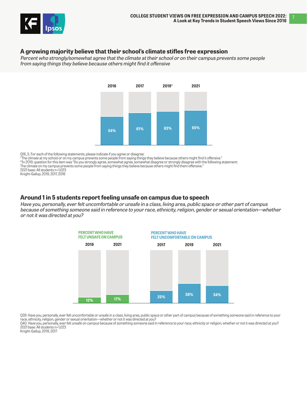

#### **A growing majority believe that their school's climate stifles free expression**

Percent who strongly/somewhat agree that the climate at their school or on their campus prevents some people from saying things they believe because others might find it offensive



Q16\_5. For each of the following statements, please indicate if you agree or disagree:

"The climate at my school or on my campus prevents some people from saying things they believe because others might find it offensive."

\*In 2019, question for this item was "Do you strongly agree, somewhat agree, somewhat disagree or strongly disagree with the following statement:

The climate on my campus prevents some people from saying things they believe because others might find them offensive.

2021 base: All students n=1,023 Knight-Gallup, 2019, 2017, 2016

**Around 1 in 5 students report feeling unsafe on campus due to speech**

Have you, personally, ever felt uncomfortable or unsafe in a class, living area, public space or other part of campus because of something someone said in reference to your race, ethnicity, religion, gender or sexual orientation—whether or not it was directed at you?



Q39. Have you, personally, ever felt uncomfortable or unsafe in a class, living area, public space or other part of campus because of something someone said in reference to your race, ethnicity, religion, gender or sexual orientation—whether or not it was directed at you?

Q40. Have you, personally, ever felt unsafe on campus because of something someone said in reference to your race, ethnicity or religion, whether or not it was directed at you? 2021 base: All students n=1,023

Knight-Gallup, 2019, 2017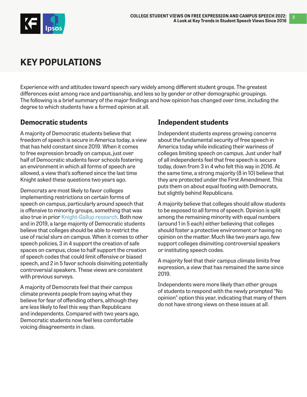

## **KEY POPULATIONS**

Experience with and attitudes toward speech vary widely among different student groups. The greatest differences exist among race and partisanship, and less so by gender or other demographic groupings. The following is a brief summary of the major findings and how opinion has changed over time, including the degree to which students have a formed opinion at all.

## **Democratic students**

A majority of Democratic students believe that freedom of speech is secure in America today, a view that has held constant since 2019. When it comes to free expression broadly on campus, just over half of Democratic students favor schools fostering an environment in which all forms of speech are allowed, a view that's softened since the last time Knight asked these questions two years ago.

Democrats are most likely to favor colleges implementing restrictions on certain forms of speech on campus, particularly around speech that is offensive to minority groups, something that was also true in prior [Knight-Gallup research](https://knightfoundation.org/topics/freedom-of-expression/). Both now and in 2019, a large majority of Democratic students believe that colleges should be able to restrict the use of racial slurs on campus. When it comes to other speech policies, 3 in 4 support the creation of safe spaces on campus, close to half support the creation of speech codes that could limit offensive or biased speech, and 2 in 5 favor schools disinviting potentially controversial speakers. These views are consistent with previous surveys.

A majority of Democrats feel that their campus climate prevents people from saying what they believe for fear of offending others, although they are less likely to feel this way than Republicans and independents. Compared with two years ago, Democratic students now feel less comfortable voicing disagreements in class.

## **Independent students**

Independent students express growing concerns about the fundamental security of free speech in America today while indicating their wariness of colleges limiting speech on campus. Just under half of all independents feel that free speech is secure today, down from 3 in 4 who felt this way in 2016. At the same time, a strong majority (8 in 10) believe that they are protected under the First Amendment. This puts them on about equal footing with Democrats, but slightly behind Republicans.

A majority believe that colleges should allow students to be exposed to all forms of speech. Opinion is split among the remaining minority with equal numbers (around 1 in 5 each) either believing that colleges should foster a protective environment or having no opinion on the matter. Much like two years ago, few support colleges disinviting controversial speakers or instituting speech codes.

A majority feel that their campus climate limits free expression, a view that has remained the same since 2019.

Independents were more likely than other groups of students to respond with the newly prompted "No opinion" option this year, indicating that many of them do not have strong views on these issues at all.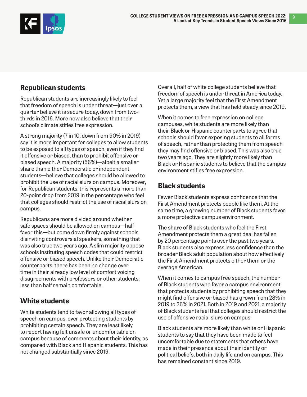

## **Republican students**

Republican students are increasingly likely to feel that freedom of speech is under threat—just over a quarter believe it is secure today, down from twothirds in 2016. More now also believe that their school's climate stifles free expression.

A strong majority (7 in 10, down from 90% in 2019) say it is more important for colleges to allow students to be exposed to all types of speech, even if they find it offensive or biased, than to prohibit offensive or biased speech. A majority (56%)—albeit a smaller share than either Democratic or independent students—believe that colleges should be allowed to prohibit the use of racial slurs on campus. Moreover, for Republican students, this represents a more than 20-point drop from 2019 in the percentage who feel that colleges should restrict the use of racial slurs on campus.

Republicans are more divided around whether safe spaces should be allowed on campus—half favor this—but come down firmly against schools disinviting controversial speakers, something that was also true two years ago. A slim majority oppose schools instituting speech codes that could restrict offensive or biased speech. Unlike their Democratic counterparts, there has been no change over time in their already low level of comfort voicing disagreements with professors or other students; less than half remain comfortable.

## **White students**

White students tend to favor allowing all types of speech on campus, over protecting students by prohibiting certain speech. They are least likely to report having felt unsafe or uncomfortable on campus because of comments about their identity, as compared with Black and Hispanic students. This has not changed substantially since 2019.

Overall, half of white college students believe that freedom of speech is under threat in America today. Yet a large majority feel that the First Amendment protects them, a view that has held steady since 2019.

When it comes to free expression on college campuses, white students are more likely than their Black or Hispanic counterparts to agree that schools should favor exposing students to all forms of speech, rather than protecting them from speech they may find offensive or biased. This was also true two years ago. They are slightly more likely than Black or Hispanic students to believe that the campus environment stifles free expression.

## **Black students**

Fewer Black students express confidence that the First Amendment protects people like them. At the same time, a growing number of Black students favor a more protective campus environment.

The share of Black students who feel the First Amendment protects them a great deal has fallen by 20 percentage points over the past two years. Black students also express less confidence than the broader Black adult population about how effectively the First Amendment protects either them or the average American.

When it comes to campus free speech, the number of Black students who favor a campus environment that protects students by prohibiting speech that they might find offensive or biased has grown from 28% in 2019 to 36% in 2021. Both in 2019 and 2021, a majority of Black students feel that colleges should restrict the use of offensive racial slurs on campus.

Black students are more likely than white or Hispanic students to say that they have been made to feel uncomfortable due to statements that others have made in their presence about their identity or political beliefs, both in daily life and on campus. This has remained constant since 2019.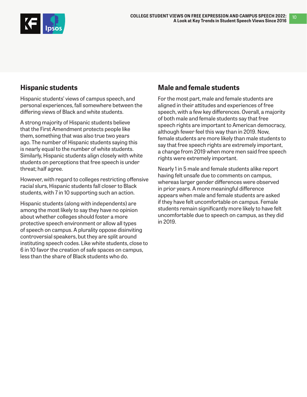

## **Hispanic students**

Hispanic students' views of campus speech, and personal experiences, fall somewhere between the differing views of Black and white students.

A strong majority of Hispanic students believe that the First Amendment protects people like them, something that was also true two years ago. The number of Hispanic students saying this is nearly equal to the number of white students. Similarly, Hispanic students align closely with white students on perceptions that free speech is under threat; half agree.

However, with regard to colleges restricting offensive racial slurs, Hispanic students fall closer to Black students, with 7 in 10 supporting such an action.

Hispanic students (along with independents) are among the most likely to say they have no opinion about whether colleges should foster a more protective speech environment or allow all types of speech on campus. A plurality oppose disinviting controversial speakers, but they are split around instituting speech codes. Like white students, close to 6 in 10 favor the creation of safe spaces on campus, less than the share of Black students who do.

## **Male and female students**

For the most part, male and female students are aligned in their attitudes and experiences of free speech, with a few key differences. Overall, a majority of both male and female students say that free speech rights are important to American democracy, although fewer feel this way than in 2019. Now, female students are more likely than male students to say that free speech rights are extremely important, a change from 2019 when more men said free speech rights were extremely important.

Nearly 1 in 5 male and female students alike report having felt unsafe due to comments on campus, whereas larger gender differences were observed in prior years. A more meaningful difference appears when male and female students are asked if they have felt uncomfortable on campus. Female students remain significantly more likely to have felt uncomfortable due to speech on campus, as they did in 2019.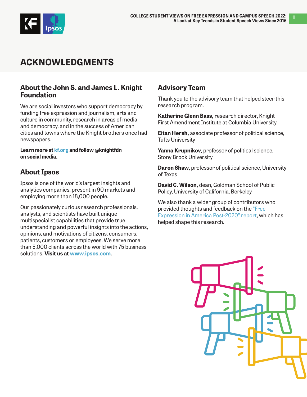<span id="page-10-0"></span>

## **ACKNOWLEDGMENTS**

## **About the John S. and James L. Knight Foundation**

We are social investors who support democracy by funding free expression and journalism, arts and culture in community, research in areas of media and democracy, and in the success of American cities and towns where the Knight brothers once had newspapers.

**Learn more at [kf.org a](https://knightfoundation.org/)nd follow @knightfdn on social media.**

## **About Ipsos**

Ipsos is one of the world's largest insights and analytics companies, present in 90 markets and employing more than 18,000 people.

Our passionately curious research professionals, analysts, and scientists have built unique multispecialist capabilities that provide true understanding and powerful insights into the actions, opinions, and motivations of citizens, consumers, patients, customers or employees. We serve more than 5,000 clients across the world with 75 business solutions. **Visit us at [www.ipsos.com.](http://www.ipsos.com)**

## **Advisory Team**

Thank you to the advisory team that helped steer this research program.

**Katherine Glenn Bass,** research director, Knight First Amendment Institute at Columbia University

**Eitan Hersh,** associate professor of political science, Tufts University

**Yanna Krupnikov,** professor of political science, Stony Brook University

**Daron Shaw,** professor of political science, University of Texas

**David C. Wilson,** dean, Goldman School of Public Policy, University of California, Berkeley

We also thank a wider group of contributors who provided thoughts and feedback on the ["Free](https://knightfoundation.org/reports/free-expression-in-america-post-2020/)  [Expression in America Post-2020" report](https://knightfoundation.org/reports/free-expression-in-america-post-2020/), which has helped shape this research.

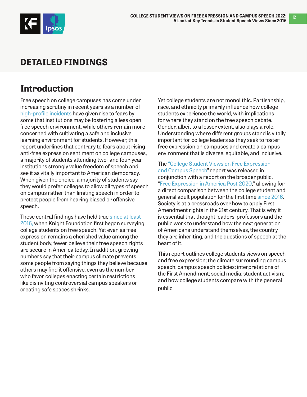<span id="page-11-0"></span>

## **DETAILED FINDINGS**

## **Introduction**

Free speech on college campuses has come under increasing scrutiny in recent years as a number of [high-profile incidents](https://www.acenet.edu/Documents/To-The-Point-Controversial-Speakers.pdf) have given rise to fears by some that institutions may be fostering a less open free speech environment, while others remain more concerned with cultivating a safe and inclusive learning environment for students. However, this report underlines that contrary to fears about rising anti-free expression sentiment on college campuses, a majority of students attending two- and four-year institutions strongly value freedom of speech and see it as vitally important to American democracy. When given the choice, a majority of students say they would prefer colleges to allow all types of speech on campus rather than limiting speech in order to protect people from hearing biased or offensive speech.

These central findings have held true since at least [2016,](https://knightfoundation.org/wp-content/uploads/2016/04/FreeSpeech_campus-1.pdf) when Knight Foundation first began surveying college students on free speech. Yet even as free expression remains a cherished value among the student body, fewer believe their free speech rights are secure in America today. In addition, growing numbers say that their campus climate prevents some people from saying things they believe because others may find it offensive, even as the number who favor colleges enacting certain restrictions like disinviting controversial campus speakers or creating safe spaces shrinks.

Yet college students are not monolithic. Partisanship, race, and ethnicity primarily influence how college students experience the world, with implications for where they stand on the free speech debate. Gender, albeit to a lesser extent, also plays a role. Understanding where different groups stand is vitally important for college leaders as they seek to foster free expression on campuses and create a campus environment that is diverse, equitable, and inclusive.

The ["College Student Views on Free Expression](http://KF.org/kfxcollege)  [and Campus Speech](http://KF.org/kfxcollege)" report was released in conjunction with a report on the broader public, "[Free Expression in America Post-2020,](http://kf.org/freespeechrights)" allowing for a direct comparison between the college student and general adult population for the first time [since 2016.](https://knightfoundation.org/wp-content/uploads/2016/04/FreeSpeech_campus-1.pdf) Society is at a crossroads over how to apply First Amendment rights in the 21st century. That is why it is essential that thought leaders, professors and the public work to understand how the next generation of Americans understand themselves, the country they are inheriting, and the questions of speech at the heart of it.

This report outlines college students views on speech and free expression; the climate surrounding campus speech; campus speech policies; interpretations of the First Amendment; social media; student activism; and how college students compare with the general public.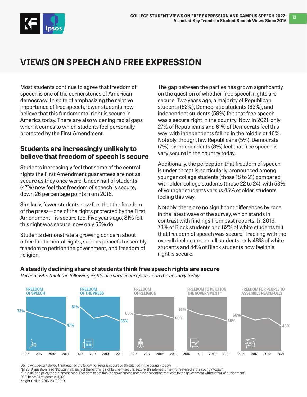<span id="page-12-0"></span>

## **VIEWS ON SPEECH AND FREE EXPRESSION**

Most students continue to agree that freedom of speech is one of the cornerstones of American democracy. In spite of emphasizing the relative importance of free speech, fewer students now believe that this fundamental right is secure in America today. There are also widening racial gaps when it comes to which students feel personally protected by the First Amendment.

## **Students are increasingly unlikely to believe that freedom of speech is secure**

Students increasingly feel that some of the central rights the First Amendment guarantees are not as secure as they once were. Under half of students (47%) now feel that freedom of speech is secure, down 26 percentage points from 2016.

Similarly, fewer students now feel that the freedom of the press—one of the rights protected by the First Amendment—is secure too. Five years ago, 81% felt this right was secure; now only 55% do.

Students demonstrate a growing concern about other fundamental rights, such as peaceful assembly, freedom to petition the government, and freedom of religion.

The gap between the parties has grown significantly on the question of whether free speech rights are secure. Two years ago, a majority of Republican students (52%), Democratic students (63%), and independent students (59%) felt that free speech was a secure right in the country. Now, in 2021, only 27% of Republicans and 61% of Democrats feel this way, with independents falling in the middle at 46%. Notably, though, few Republicans (5%), Democrats (7%), or independents (8%) feel that free speech is very secure in the country today.

Additionally, the perception that freedom of speech is under threat is particularly pronounced among younger college students (those 18 to 21) compared with older college students (those 22 to 24), with 53% of younger students versus 45% of older students feeling this way.

Notably, there are no significant differences by race in the latest wave of the survey, which stands in contrast with findings from past reports. In 2016, 73% of Black students and 82% of white students felt that freedom of speech was secure. Tracking with the overall decline among all students, only 48% of white students and 44% of Black students now feel this right is secure.

#### **A steadily declining share of students think free speech rights are secure**

Percent who think the following rights are very secure/secure in the country today



Q5. To what extent do you think each of the following rights is secure or threatened in the country today?

\*In 2019, question read "Do you think each of the following rights is very secure, secure, threatened, or very threatened in the country today?"

\*\*In 2019 and prior, the statement read "Freedom to petition the government, meaning presenting requests to the government without fear of punishment" 2021 base: All students n=1,023

Knight-Gallup, 2016, 2017, 2019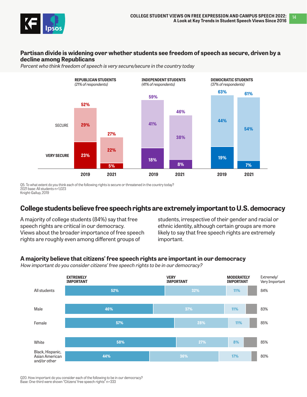

### **Partisan divide is widening over whether students see freedom of speech as secure, driven by a decline among Republicans**

Percent who think freedom of speech is very secure/secure in the country today



Q5. To what extent do you think each of the following rights is secure or threatened in the country today? 2021 base: All students n=1,023 Knight-Gallup, 2019

## **College students believe free speech rights are extremely important to U.S. democracy**

A majority of college students (84%) say that free speech rights are critical in our democracy. Views about the broader importance of free speech rights are roughly even among different groups of

students, irrespective of their gender and racial or ethnic identity, although certain groups are more likely to say that free speech rights are extremely important.

### **A majority believe that citizens' free speech rights are important in our democracy**

How important do you consider citizens' free speech rights to be in our democracy?



Q20. How important do you consider each of the following to be in our democracy? Base: One-third were shown "Citizens' free speech rights" n=333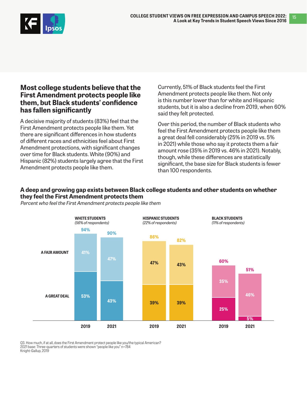15



### **Most college students believe that the First Amendment protects people like them, but Black students' confidence has fallen significantly**

A decisive majority of students (83%) feel that the First Amendment protects people like them. Yet there are significant differences in how students of different races and ethnicities feel about First Amendment protections, with significant changes over time for Black students. White (90%) and Hispanic (82%) students largely agree that the First Amendment protects people like them.

Currently, 51% of Black students feel the First Amendment protects people like them. Not only is this number lower than for white and Hispanic students, but it is also a decline from 2019, when 60% said they felt protected.

Over this period, the number of Black students who feel the First Amendment protects people like them a great deal fell considerably (25% in 2019 vs. 5% in 2021) while those who say it protects them a fair amount rose (35% in 2019 vs. 46% in 2021). Notably, though, while these differences are statistically significant, the base size for Black students is fewer than 100 respondents.

### **A deep and growing gap exists between Black college students and other students on whether they feel the First Amendment protects them**



Percent who feel the First Amendment protects people like them

Q3. How much, if at all, does the First Amendment protect people like you/the typical American? 2021 base: Three-quarters of students were shown "people like you" n=784 Knight-Gallup, 2019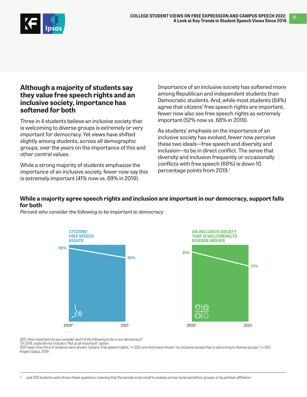16



### **Although a majority of students say they value free speech rights and an inclusive society, importance has softened for both**

Three in 4 students believe an inclusive society that is welcoming to diverse groups is extremely or very important for democracy. Yet views have shifted slightly among students, across all demographic groups, over the years on the importance of this and other central values.

While a strong majority of students emphasize the importance of an inclusive society, fewer now say this is extremely important (41% now vs. 69% in 2019).

Importance of an inclusive society has softened more among Republican and independent students than Democratic students. And, while most students (84%) agree that citizens' free speech rights are important, fewer now also see free speech rights as extremely important (52% now vs. 68% in 2019).

As students' emphasis on the importance of an inclusive society has evolved, fewer now perceive these two ideals—free speech and diversity and inclusion—to be in direct conflict. The sense that diversity and inclusion frequently or occasionally conflicts with free speech (66%) is down 10 percentage points from 2019.<sup>1</sup>

### **While a majority agree speech rights and inclusion are important in our democracy, support falls for both**

Percent who consider the following to be important to democracy





Q20. How important do you consider each of the following to be in our democracy?

\*In 2019, scale did not include a "Not at all important" option.

2021 base: One-third of students were shown "citizens' free speech rights," n=333; one-third were shown "an inclusive society that is welcoming to diverse groups," n=333 Knight-Gallup, 2019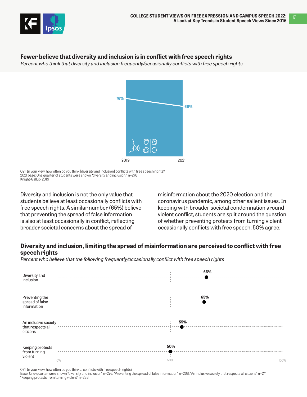

### **Fewer believe that diversity and inclusion is in conflict with free speech rights**

Percent who think that diversity and inclusion frequently/occasionally conflicts with free speech rights



Q21. In your view, how often do you think [diversity and inclusion] conflicts with free speech rights? 2021 base: One quarter of students were shown "diversity and inclusion," n=276 Knight-Gallup, 2019

Diversity and inclusion is not the only value that students believe at least occasionally conflicts with free speech rights. A similar number (65%) believe that preventing the spread of false information is also at least occasionally in conflict, reflecting broader societal concerns about the spread of

misinformation about the 2020 election and the coronavirus pandemic, among other salient issues. In keeping with broader societal condemnation around violent conflict, students are split around the question of whether preventing protests from turning violent occasionally conflicts with free speech; 50% agree.

### **Diversity and inclusion, limiting the spread of misinformation are perceived to conflict with free speech rights**

Percent who believe that the following frequently/occasionally conflict with free speech rights

| Diversity and<br>inclusion                              |    | 66%        |      |
|---------------------------------------------------------|----|------------|------|
| Preventing the<br>spread of false<br>information        |    | 65%        |      |
| An inclusive society :<br>that respects all<br>citizens |    | 55%        |      |
| Keeping protests<br>from turning<br>violent             | 0% | 50%<br>50% | 100% |

Q21. In your view, how often do you think … conflicts with free speech rights?

Base: One-quarter were shown "diversity and inclusion" n=276; "Preventing the spread of false information" n=268; "An inclusive society that respects all citizens" n=241 "Keeping protests from turning violent" n=238.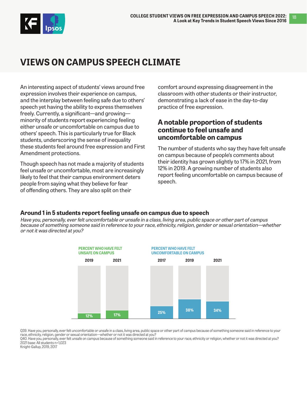<span id="page-17-0"></span>

## **VIEWS ON CAMPUS SPEECH CLIMATE**

An interesting aspect of students' views around free expression involves their experience on campus, and the interplay between feeling safe due to others' speech yet having the ability to express themselves freely. Currently, a significant—and growing minority of students report experiencing feeling either unsafe or uncomfortable on campus due to others' speech. This is particularly true for Black students, underscoring the sense of inequality these students feel around free expression and First Amendment protections.

Though speech has not made a majority of students feel unsafe or uncomfortable, most are increasingly likely to feel that their campus environment deters people from saying what they believe for fear of offending others. They are also split on their

comfort around expressing disagreement in the classroom with other students or their instructor, demonstrating a lack of ease in the day-to-day practice of free expression.

## **A notable proportion of students continue to feel unsafe and uncomfortable on campus**

The number of students who say they have felt unsafe on campus because of people's comments about their identity has grown slightly to 17% in 2021, from 12% in 2019. A growing number of students also report feeling uncomfortable on campus because of speech.

### **Around 1 in 5 students report feeling unsafe on campus due to speech**

Have you, personally, ever felt uncomfortable or unsafe in a class, living area, public space or other part of campus because of something someone said in reference to your race, ethnicity, religion, gender or sexual orientation—whether or not it was directed at you?



Q39. Have you, personally, ever felt uncomfortable or unsafe in a class, living area, public space or other part of campus because of something someone said in reference to your race, ethnicity, religion, gender or sexual orientation—whether or not it was directed at you?

Q40. Have you, personally, ever felt unsafe on campus because of something someone said in reference to your race, ethnicity or religion, whether or not it was directed at you? 2021 base: All students n=1,023

Knight-Gallup, 2019, 2017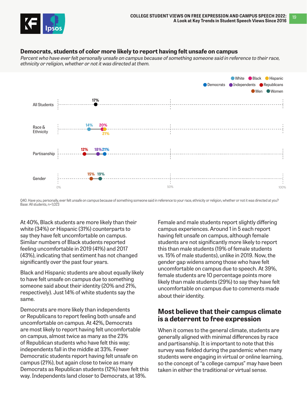

#### **Democrats, students of color more likely to report having felt unsafe on campus**

Percent who have ever felt personally unsafe on campus because of something someone said in reference to their race, ethnicity or religion, whether or not it was directed at them.



Q40. Have you, personally, ever felt unsafe on campus because of something someone said in reference to your race, ethnicity or religion, whether or not it was directed at you? Base: All students, n=1,023

At 40%, Black students are more likely than their white (34%) or Hispanic (31%) counterparts to say they have felt uncomfortable on campus. Similar numbers of Black students reported feeling uncomfortable in 2019 (41%) and 2017 (43%), indicating that sentiment has not changed significantly over the past four years.

Black and Hispanic students are about equally likely to have felt unsafe on campus due to something someone said about their identity (20% and 21%, respectively). Just 14% of white students say the same.

Democrats are more likely than independents or Republicans to report feeling both unsafe and uncomfortable on campus. At 42%, Democrats are most likely to report having felt uncomfortable on campus, almost twice as many as the 23% of Republican students who have felt this way; independents fall in the middle at 33%. Fewer Democratic students report having felt unsafe on campus (21%), but again close to twice as many Democrats as Republican students (12%) have felt this way. Independents land closer to Democrats, at 18%.

Female and male students report slightly differing campus experiences. Around 1 in 5 each report having felt unsafe on campus, although female students are not significantly more likely to report this than male students (19% of female students vs. 15% of male students), unlike in 2019. Now, the gender gap widens among those who have felt uncomfortable on campus due to speech. At 39%, female students are 10 percentage points more likely than male students (29%) to say they have felt uncomfortable on campus due to comments made about their identity.

## **Most believe that their campus climate is a deterrent to free expression**

When it comes to the general climate, students are generally aligned with minimal differences by race and partisanship. It is important to note that this survey was fielded during the pandemic when many students were engaging in virtual or online learning, so the concept of "a college campus" may have been taken in either the traditional or virtual sense.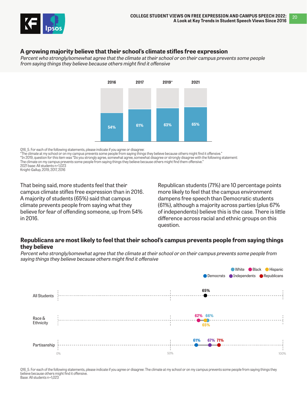

### **A growing majority believe that their school's climate stifles free expression**

Percent who strongly/somewhat agree that the climate at their school or on their campus prevents some people from saying things they believe because others might find it offensive



Q16\_5. For each of the following statements, please indicate if you agree or disagree:

"The climate at my school or on my campus prevents some people from saying things they believe because others might find it offensive." \*In 2019, question for this item was "Do you strongly agree, somewhat agree, somewhat disagree or strongly disagree with the following statement: The climate on my campus prevents some people from saying things they believe because others might find them offensive." 2021 base: All students n=1,023 Knight-Gallup, 2019, 2017, 2016

That being said, more students feel that their campus climate stifles free expression than in 2016. A majority of students (65%) said that campus climate prevents people from saying what they believe for fear of offending someone, up from 54% in 2016.

Republican students (71%) are 10 percentage points more likely to feel that the campus environment dampens free speech than Democratic students (61%), although a majority across parties (plus 67% of independents) believe this is the case. There is little difference across racial and ethnic groups on this question.

#### **Republicans are most likely to feel that their school's campus prevents people from saying things they believe**

Percent who strongly/somewhat agree that the climate at their school or on their campus prevents some people from saying things they believe because others might find it offensive



Q16 5. For each of the following statements, please indicate if you agree or disagree: The climate at my school or on my campus prevents some people from saying things they believe because others might find it offensive. Base: All students n=1,023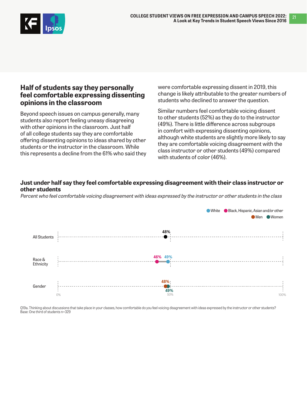

### **Half of students say they personally feel comfortable expressing dissenting opinions in the classroom**

Beyond speech issues on campus generally, many students also report feeling uneasy disagreeing with other opinions in the classroom. Just half of all college students say they are comfortable offering dissenting opinions to ideas shared by other students or the instructor in the classroom. While this represents a decline from the 61% who said they were comfortable expressing dissent in 2019, this change is likely attributable to the greater numbers of students who declined to answer the question.

Similar numbers feel comfortable voicing dissent to other students (52%) as they do to the instructor (49%). There is little difference across subgroups in comfort with expressing dissenting opinions, although white students are slightly more likely to say they are comfortable voicing disagreement with the class instructor or other students (49%) compared with students of color (46%).

#### **Just under half say they feel comfortable expressing disagreement with their class instructor or other students**

Percent who feel comfortable voicing disagreement with ideas expressed by the instructor or other students in the class



Q19a. Thinking about discussions that take place in your classes, how comfortable do you feel voicing disagreement with ideas expressed by the instructor or other students? Base: One third of students n=329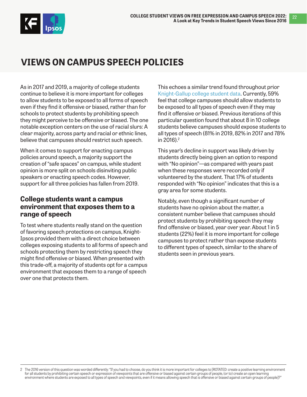<span id="page-21-0"></span>

## **VIEWS ON CAMPUS SPEECH POLICIES**

As in 2017 and 2019, a majority of college students continue to believe it is more important for colleges to allow students to be exposed to all forms of speech even if they find it offensive or biased, rather than for schools to protect students by prohibiting speech they might perceive to be offensive or biased. The one notable exception centers on the use of racial slurs: A clear majority, across party and racial or ethnic lines, believe that campuses should restrict such speech.

When it comes to support for enacting campus policies around speech, a majority support the creation of "safe spaces" on campus, while student opinion is more split on schools disinviting public speakers or enacting speech codes. However, support for all three policies has fallen from 2019.

### **College students want a campus environment that exposes them to a range of speech**

To test where students really stand on the question of favoring speech protections on campus, Knight-Ipsos provided them with a direct choice between colleges exposing students to all forms of speech and schools protecting them by restricting speech they might find offensive or biased. When presented with this trade-off, a majority of students opt for a campus environment that exposes them to a range of speech over one that protects them.

This echoes a similar trend found throughout prior [Knight-Gallup college student data](https://knightfoundation.org/topics/freedom-of-expression/). Currently, 59% feel that college campuses should allow students to be exposed to all types of speech even if they may find it offensive or biased. Previous iterations of this particular question found that about 8 in 10 college students believe campuses should expose students to all types of speech (81% in 2019, 82% in 2017 and 78% in 2016).<sup>2</sup>

This year's decline in support was likely driven by students directly being given an option to respond with "No opinion"—as compared with years past when these responses were recorded only if volunteered by the student. That 17% of students responded with "No opinion" indicates that this is a gray area for some students.

Notably, even though a significant number of students have no opinion about the matter, a consistent number believe that campuses should protect students by prohibiting speech they may find offensive or biased, year over year. About 1 in 5 students (22%) feel it is more important for college campuses to protect rather than expose students to different types of speech, similar to the share of students seen in previous years.

<sup>2</sup> The 2016 version of this question was worded differently: "If you had to choose, do you think it is more important for colleges to [ROTATED: create a positive learning environment for all students by prohibiting certain speech or expression of viewpoints that are offensive or biased against certain groups of people, (or to) create an open learning environment where students are exposed to all types of speech and viewpoints, even if it means allowing speech that is offensive or biased against certain groups of people]?"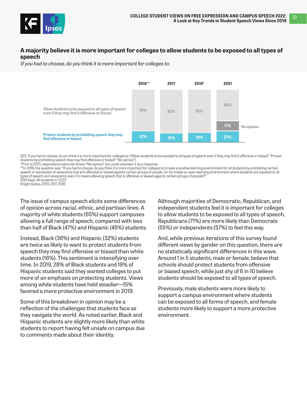

#### **A majority believe it is more important for colleges to allow students to be exposed to all types of speech**

If you had to choose, do you think it is more important for colleges to:



Q22. If you had to choose, do you think it is more important for colleges to: ["Allow students to be exposed to all types of speech even if they may find it offensive or biased" "Protect students by prohibiting speech they may find offensive or biased" "No opinion"]

\*Prior to 2021, respondents were not shown "No opinion" but could volunteer it as a response.

\*\*In 2016, the question was: "If you had to choose, do you think it is more important for colleges to [create a positive learning environment for all students by prohibiting certain speech or expression of viewpoints that are offensive or biased against certain groups of people, (or to) create an open learning environment where students are exposed to all types of speech and viewpoints, even if it means allowing speech that is offensive or biased against certain groups of people]?" 2021 base: All students n=1,023

Knight-Gallup, 2019, 2017, 2016

The issue of campus speech elicits some differences of opinion across racial, ethnic, and partisan lines. A majority of white students (65%) support campuses allowing a full range of speech, compared with less than half of Black (47%) and Hispanic (45%) students.

Instead, Black (36%) and Hispanic (32%) students are twice as likely to want to protect students from speech they may find offensive or biased than white students (16%). This sentiment is intensifying over time. In 2019, 28% of Black students and 19% of Hispanic students said they wanted colleges to put more of an emphasis on protecting students. Views among white students have held steadier—15% favored a more protective environment in 2019.

Some of this breakdown in opinion may be a reflection of the challenges that students face as they navigate the world. As noted earlier, Black and Hispanic students are slightly more likely than white students to report having felt unsafe on campus due to comments made about their identity.

Although majorities of Democratic, Republican, and independent students feel it is important for colleges to allow students to be exposed to all types of speech, Republicans (71%) are more likely than Democrats (55%) or independents (57%) to feel this way.

And, while previous iterations of this survey found different views by gender on this question, there are no statistically significant differences in this wave. Around 1 in 5 students, male or female, believe that schools should protect students from offensive or biased speech, while just shy of 6 in 10 believe students should be exposed to all types of speech.

Previously, male students were more likely to support a campus environment where students can be exposed to all forms of speech, and female students more likely to support a more protective environment.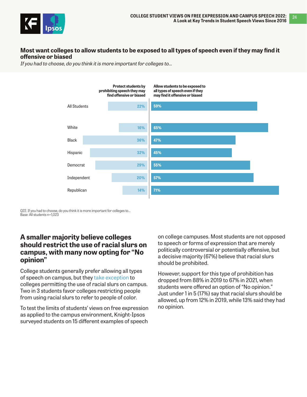

#### **Most want colleges to allow students to be exposed to all types of speech even if they may find it offensive or biased**

If you had to choose, do you think it is more important for colleges to…



Q22. If you had to choose, do you think it is more important for colleges to... Base: All students n=1,023

### **A smaller majority believe colleges should restrict the use of racial slurs on campus, with many now opting for "No opinion"**

College students generally prefer allowing all types of speech on campus, but they [take exception](https://www.aclu.org/other/speech-campus) to colleges permitting the use of racial slurs on campus. Two in 3 students favor colleges restricting people from using racial slurs to refer to people of color.

To test the limits of students' views on free expression as applied to the campus environment, Knight-Ipsos surveyed students on 15 different examples of speech

on college campuses. Most students are not opposed to speech or forms of expression that are merely politically controversial or potentially offensive, but a decisive majority (67%) believe that racial slurs should be prohibited.

However, support for this type of prohibition has dropped from 88% in 2019 to 67% in 2021, when students were offered an option of "No opinion." Just under 1 in 5 (17%) say that racial slurs should be allowed, up from 12% in 2019, while 13% said they had no opinion.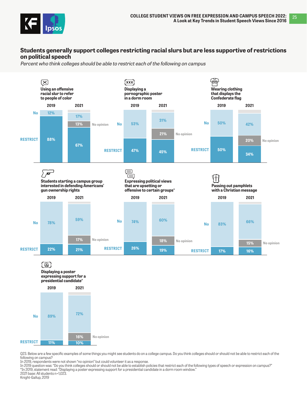

#### **Students generally support colleges restricting racial slurs but are less supportive of restrictions on political speech**

Percent who think colleges should be able to restrict each of the following on campus





Q23. Below are a few specific examples of some things you might see students do on a college campus. Do you think colleges should or should not be able to restrict each of the following on campus?

In 2019, respondents were not shown "no opinion" but could volunteer it as a response.

In 2019 question was: "Do you think colleges should or should not be able to establish policies that restrict each of the following types of speech or expression on campus?" \*In 2019, statement read: "Displaying a poster expressing support for a presidential candidate in a dorm room window."

2021 base: All students n=1,023.

Knight-Gallup, 2019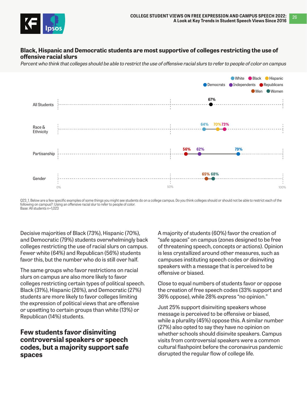

#### **Black, Hispanic and Democratic students are most supportive of colleges restricting the use of offensive racial slurs**

Percent who think that colleges should be able to restrict the use of offensive racial slurs to refer to people of color on campus



Q23\_1. Below are a few specific examples of some things you might see students do on a college campus. Do you think colleges should or should not be able to restrict each of the following on campus?: Using an offensive racial slur to refer to people of color. Base: All students n=1,023

Decisive majorities of Black (73%), Hispanic (70%), and Democratic (79%) students overwhelmingly back colleges restricting the use of racial slurs on campus. Fewer white (64%) and Republican (56%) students favor this, but the number who do is still over half.

The same groups who favor restrictions on racial slurs on campus are also more likely to favor colleges restricting certain types of political speech. Black (31%), Hispanic (26%), and Democratic (27%) students are more likely to favor colleges limiting the expression of political views that are offensive or upsetting to certain groups than white (13%) or Republican (14%) students.

### **Few students favor disinviting controversial speakers or speech codes, but a majority support safe spaces**

A majority of students (60%) favor the creation of "safe spaces" on campus (zones designed to be free of threatening speech, concepts or actions). Opinion is less crystallized around other measures, such as campuses instituting speech codes or disinviting speakers with a message that is perceived to be offensive or biased.

Close to equal numbers of students favor or oppose the creation of free speech codes (33% support and 36% oppose), while 28% express "no opinion."

Just 25% support disinviting speakers whose message is perceived to be offensive or biased, while a plurality (45%) oppose this. A similar number (27%) also opted to say they have no opinion on whether schools should disinvite speakers. Campus visits from controversial speakers were a common cultural flashpoint before the coronavirus pandemic disrupted the regular flow of college life.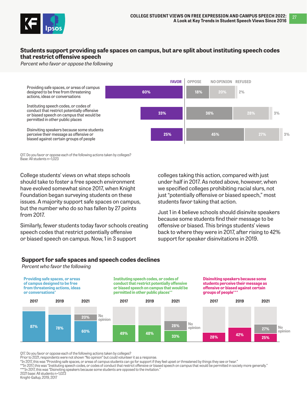

#### **Students support providing safe spaces on campus, but are split about instituting speech codes that restrict offensive speech**

Percent who favor or oppose the following



Q17. Do you favor or oppose each of the following actions taken by colleges? Base: All students n=1,023

College students' views on what steps schools should take to foster a free speech environment have evolved somewhat since 2017, when Knight Foundation began surveying students on these issues. A majority support safe spaces on campus, but the number who do so has fallen by 27 points from 2017.

Similarly, fewer students today favor schools creating speech codes that restrict potentially offensive or biased speech on campus. Now, 1 in 3 support

colleges taking this action, compared with just under half in 2017. As noted above, however, when we specified colleges prohibiting racial slurs, not just "potentially offensive or biased speech," most students favor taking that action.

Just 1 in 4 believe schools should disinvite speakers because some students find their message to be offensive or biased. This brings students' views back to where they were in 2017, after rising to 42% support for speaker disinvitations in 2019.

#### **Support for safe spaces and speech codes declines**

Percent who favor the following



Q17. Do you favor or oppose each of the following actions taken by colleges?

Prior to 2021, respondents were not shown "No opinion" but could volunteer it as a response.

\*In 2017, this was "Providing safe spaces, or areas of campus students can go for support if they feel upset or threatened by things they see or hear."

\*\*In 2017, this was "Instituting speech codes, or codes of conduct that restrict offensive or biased speech on campus that would be permitted in society more generally."

\*\*\*In 2017, this was "Disinviting speakers because some students are opposed to the invitation."

Knight-Gallup, 2019, 2017

<sup>2021</sup> base: All students n=1,023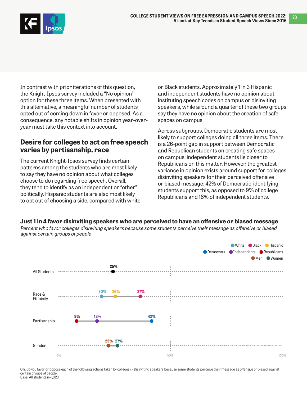

In contrast with prior iterations of this question, the Knight-Ipsos survey included a "No opinion" option for these three items. When presented with this alternative, a meaningful number of students opted out of coming down in favor or opposed. As a consequence, any notable shifts in opinion year-overyear must take this context into account.

## **Desire for colleges to act on free speech varies by partisanship, race**

The current Knight-Ipsos survey finds certain patterns among the students who are most likely to say they have no opinion about what colleges choose to do regarding free speech. Overall, they tend to identify as an independent or "other" politically. Hispanic students are also most likely to opt out of choosing a side, compared with white or Black students. Approximately 1 in 3 Hispanic and independent students have no opinion about instituting speech codes on campus or disinviting speakers, while around a quarter of these two groups say they have no opinion about the creation of safe spaces on campus.

Across subgroups, Democratic students are most likely to support colleges doing all three items. There is a 26-point gap in support between Democratic and Republican students on creating safe spaces on campus; independent students lie closer to Republicans on this matter. However, the greatest variance in opinion exists around support for colleges disinviting speakers for their perceived offensive or biased message: 42% of Democratic-identifying students support this, as opposed to 9% of college Republicans and 18% of independent students.

**Just 1 in 4 favor disinviting speakers who are perceived to have an offensive or biased message**

Percent who favor colleges disinviting speakers because some students perceive their message as offensive or biased against certain groups of people



Q17. Do you favor or oppose each of the following actions taken by colleges? - Disinviting speakers because some students perceive their message as offensive or biased against certain groups of people. Base: All students n=1,023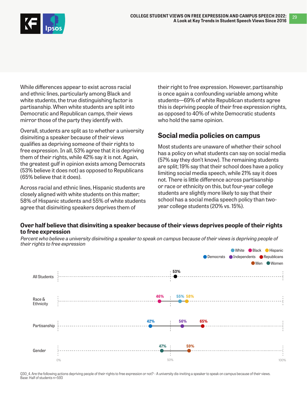

While differences appear to exist across racial and ethnic lines, particularly among Black and white students, the true distinguishing factor is partisanship. When white students are split into Democratic and Republican camps, their views mirror those of the party they identify with.

Overall, students are split as to whether a university disinviting a speaker because of their views qualifies as depriving someone of their rights to free expression. In all, 53% agree that it is depriving them of their rights, while 42% say it is not. Again, the greatest gulf in opinion exists among Democrats (53% believe it does not) as opposed to Republicans (65% believe that it does).

Across racial and ethnic lines, Hispanic students are closely aligned with white students on this matter; 58% of Hispanic students and 55% of white students agree that disinviting speakers deprives them of

their right to free expression. However, partisanship is once again a confounding variable among white students—69% of white Republican students agree this is depriving people of their free expression rights, as opposed to 40% of white Democratic students who hold the same opinion.

## **Social media policies on campus**

Most students are unaware of whether their school has a policy on what students can say on social media (57% say they don't know). The remaining students are split; 19% say that their school does have a policy limiting social media speech, while 21% say it does not. There is little difference across partisanship or race or ethnicity on this, but four-year college students are slightly more likely to say that their school has a social media speech policy than twoyear college students (20% vs. 15%).

### **Over half believe that disinviting a speaker because of their views deprives people of their rights to free expression**



Percent who believe a university disinviting a speaker to speak on campus because of their views is depriving people of their rights to free expression

Q30\_4. Are the following actions depriving people of their rights to free expression or not? - A university dis-inviting a speaker to speak on campus because of their views. Base: Half of students n=593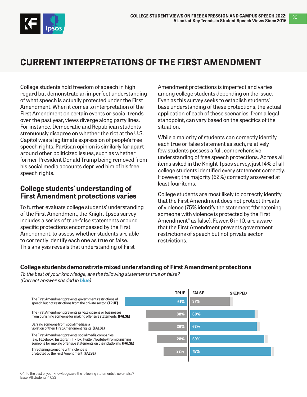<span id="page-29-0"></span>

## **CURRENT INTERPRETATIONS OF THE FIRST AMENDMENT**

College students hold freedom of speech in high regard but demonstrate an imperfect understanding of what speech is actually protected under the First Amendment. When it comes to interpretation of the First Amendment on certain events or social trends over the past year, views diverge along party lines. For instance, Democratic and Republican students strenuously disagree on whether the riot at the U.S. Capitol was a legitimate expression of people's free speech rights. Partisan opinion is similarly far apart around other politicized issues, such as whether former President Donald Trump being removed from his social media accounts deprived him of his free speech rights.

## **College students' understanding of First Amendment protections varies**

To further evaluate college students' understanding of the First Amendment, the Knight-Ipsos survey includes a series of true-false statements around specific protections encompassed by the First Amendment, to assess whether students are able to correctly identify each one as true or false. This analysis reveals that understanding of First

Amendment protections is imperfect and varies among college students depending on the issue. Even as this survey seeks to establish students' base understanding of these protections, the actual application of each of these scenarios, from a legal standpoint, can vary based on the specifics of the situation.

While a majority of students can correctly identify each true or false statement as such, relatively few students possess a full, comprehensive understanding of free speech protections. Across all items asked in the Knight-Ipsos survey, just 14% of all college students identified every statement correctly. However, the majority (62%) correctly answered at least four items.

College students are most likely to correctly identify that the First Amendment does not protect threats of violence (75% identify the statement "threatening someone with violence is protected by the First Amendment" as false). Fewer, 6 in 10, are aware that the First Amendment prevents government restrictions of speech but not private sector restrictions.

### **College students demonstrate mixed understanding of First Amendment protections**

To the best of your knowledge, are the following statements true or false? (Correct answer shaded in **blue**)

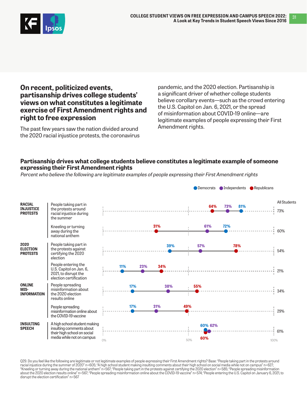

**On recent, politicized events, partisanship drives college students' views on what constitutes a legitimate exercise of First Amendment rights and right to free expression**

The past few years saw the nation divided around the 2020 racial injustice protests, the coronavirus

pandemic, and the 2020 election. Partisanship is a significant driver of whether college students believe corollary events—such as the crowd entering the U.S. Capitol on Jan. 6, 2021, or the spread of misinformation about COVID-19 online—are legitimate examples of people expressing their First Amendment rights.

### **Partisanship drives what college students believe constitutes a legitimate example of someone expressing their First Amendment rights**

Percent who believe the following are legitimate examples of people expressing their First Amendment rights



Q29. Do you feel like the following are legitimate or not legitimate examples of people expressing their First Amendment rights? Base: "People taking part in the protests around racial injustice during the summer of 2020" n=605; "A high school student making insulting comments about their high school on social media while not on campus" n=627; "Kneeling or turning away during the national anthem" n=567; "People taking part in the protests against certifying the 2020 election" n=585; "People spreading misinformation about the 2020 election results online" n=567; "People spreading misinformation online about the COVID-19 vaccine" n=574; "People entering the U.S. Capitol on January 6, 2021, to disrupt the election certification" n=567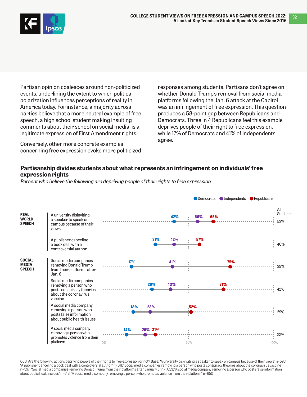

Partisan opinion coalesces around non-politicized events, underlining the extent to which political polarization influences perceptions of reality in America today. For instance, a majority across parties believe that a more neutral example of free speech, a high school student making insulting comments about their school on social media, is a legitimate expression of First Amendment rights.

Conversely, other more concrete examples concerning free expression evoke more politicized

responses among students. Partisans don't agree on whether Donald Trump's removal from social media platforms following the Jan. 6 attack at the Capitol was an infringement of free expression. This question produces a 58-point gap between Republicans and Democrats. Three in 4 Republicans feel this example deprives people of their right to free expression, while 17% of Democrats and 41% of independents agree.

### **Partisanship divides students about what represents an infringement on individuals' free expression rights**

Percent who believe the following are depriving people of their rights to free expression



Q30. Are the following actions depriving people of their rights to free expression or not? Base: "A university dis-inviting a speaker to speak on campus because of their views" n=593; "A publisher canceling a book deal with a controversial author" n=611; "Social media companies removing a person who posts conspiracy theories about the coronavirus vaccine" n=597; "Social media companies removing Donald Trump from their platforms after January 6" n=1.023; "A social media company removing a person who posts false information about public health issues" n=618; "A social media company removing a person who promotes violence from their platform" n=650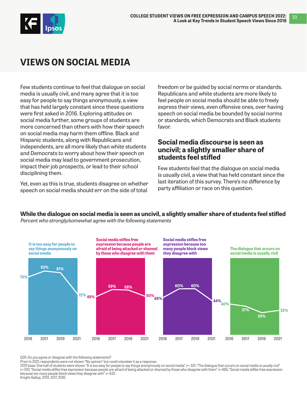<span id="page-32-0"></span>

## **VIEWS ON SOCIAL MEDIA**

Few students continue to feel that dialogue on social media is usually civil, and many agree that it is too easy for people to say things anonymously, a view that has held largely constant since these questions were first asked in 2016. Exploring attitudes on social media further, some groups of students are more concerned than others with how their speech on social media may harm them offline. Black and Hispanic students, along with Republicans and independents, are all more likely than white students and Democrats to worry about how their speech on social media may lead to government prosecution, impact their job prospects, or lead to their school disciplining them.

Yet, even as this is true, students disagree on whether speech on social media should err on the side of total

freedom or be guided by social norms or standards. Republicans and white students are more likely to feel people on social media should be able to freely express their views, even offensive ones, over having speech on social media be bounded by social norms or standards, which Democrats and Black students favor.

### **Social media discourse is seen as uncivil; a slightly smaller share of students feel stifled**

Few students feel that the dialogue on social media is usually civil, a view that has held constant since the last iteration of this survey. There's no difference by party affiliation or race on this question.

### **While the dialogue on social media is seen as uncivil, a slightly smaller share of students feel stifled**

Percent who strongly/somewhat agree with the following statements



Q26. Do you agree or disagree with the following statements?

Prior to 2021, respondents were not shown "No opinion" but could volunteer it as a response.

2021 base: One half of students were shown "It is too easy for people to say things anonymously on social media" n= 521; "The dialogue that occurs on social media is usually civil" n=510; "Social media stifles free expression because people are afraid of being attacked or shamed by those who disagree with them" n=485; "Social media stifles free expression because too many people block views they disagree with" n=533

Knight-Gallup, 2019, 2017, 2016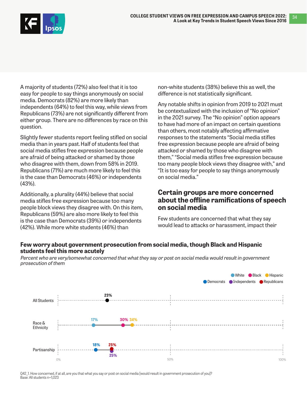34



A majority of students (72%) also feel that it is too easy for people to say things anonymously on social media. Democrats (82%) are more likely than independents (64%) to feel this way, while views from Republicans (73%) are not significantly different from either group. There are no differences by race on this question.

Slightly fewer students report feeling stifled on social media than in years past.Half of students feel that social media stifles free expression because people are afraid of being attacked or shamed by those who disagree with them, down from 58% in 2019. Republicans (71%) are much more likely to feel this is the case than Democrats (46%) or independents (43%).

Additionally, a plurality (44%) believe that social media stifles free expression because too many people block views they disagree with. On this item, Republicans (59%) are also more likely to feel this is the case than Democrats (39%) or independents (42%). While more white students (46%) than

non-white students (38%) believe this as well, the difference is not statistically significant.

Any notable shifts in opinion from 2019 to 2021 must be contextualized with the inclusion of "No opinion" in the 2021 survey. The "No opinion" option appears to have had more of an impact on certain questions than others, most notably affecting affirmative responses to the statements "Social media stifles free expression because people are afraid of being attacked or shamed by those who disagree with them," "Social media stifles free expression because too many people block views they disagree with," and "It is too easy for people to say things anonymously on social media."

### **Certain groups are more concerned about the offline ramifications of speech on social media**

Few students are concerned that what they say would lead to attacks or harassment, impact their

### **Few worry about government prosecution from social media, though Black and Hispanic students feel this more acutely**

Percent who are very/somewhat concerned that what they say or post on social media would result in government prosecution of them



Q42\_1. How concerned, if at all, are you that what you say or post on social media [would result in government prosecution of you]? Base: All students n=1,023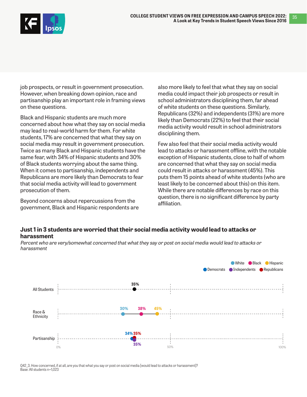

job prospects, or result in government prosecution. However, when breaking down opinion, race and partisanship play an important role in framing views on these questions.

Black and Hispanic students are much more concerned about how what they say on social media may lead to real-world harm for them. For white students, 17% are concerned that what they say on social media may result in government prosecution. Twice as many Black and Hispanic students have the same fear, with 34% of Hispanic students and 30% of Black students worrying about the same thing. When it comes to partisanship, independents and Republicans are more likely than Democrats to fear that social media activity will lead to government prosecution of them.

Beyond concerns about repercussions from the government, Black and Hispanic respondents are

also more likely to feel that what they say on social media could impact their job prospects or result in school administrators disciplining them, far ahead of white students on these questions. Similarly, Republicans (32%) and independents (31%) are more likely than Democrats (22%) to feel that their social media activity would result in school administrators disciplining them.

35

Few also feel that their social media activity would lead to attacks or harassment offline, with the notable exception of Hispanic students, close to half of whom are concerned that what they say on social media could result in attacks or harassment (45%). This puts them 15 points ahead of white students (who are least likely to be concerned about this) on this item. While there are notable differences by race on this question, there is no significant difference by party affiliation.

#### **Just 1 in 3 students are worried that their social media activity would lead to attacks or harassment**



Percent who are very/somewhat concerned that what they say or post on social media would lead to attacks or harassment

Q42\_3. How concerned, if at all, are you that what you say or post on social media [would lead to attacks or harassment]? Base: All students n=1,023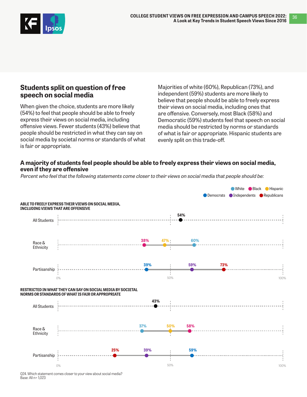

## **Students split on question of free speech on social media**

When given the choice, students are more likely (54%) to feel that people should be able to freely express their views on social media, including offensive views. Fewer students (43%) believe that people should be restricted in what they can say on social media by societal norms or standards of what is fair or appropriate.

Majorities of white (60%), Republican (73%), and independent (59%) students are more likely to believe that people should be able to freely express their views on social media, including ones that are offensive. Conversely, most Black (58%) and Democratic (59%) students feel that speech on social media should be restricted by norms or standards of what is fair or appropriate. Hispanic students are evenly split on this trade-off.

### **A majority of students feel people should be able to freely express their views on social media, even if they are offensive**

Percent who feel that the following statements come closer to their views on social media that people should be:



Q24. Which statement comes closer to your view about social media?  $Base: All n= 1,023$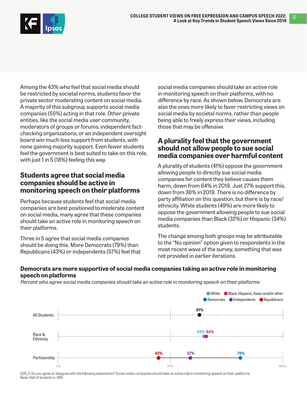

Among the 43% who feel that social media should be restricted by societal norms, students favor the private sector moderating content on social media. A majority of this subgroup supports social media companies (55%) acting in that role. Other private entities, like the social media user community, moderators of groups or forums, independent factchecking organizations, or an independent oversight board win much less support from students, with none gaining majority support. Even fewer students feel the government is best suited to take on this role, with just 1 in 5 (18%) feeling this way.

## **Students agree that social media companies should be active in monitoring speech on their platforms**

Perhaps because students feel that social media companies are best positioned to moderate content on social media, many agree that these companies should take an active role in monitoring speech on their platforms.

Three in 5 agree that social media companies should be doing this. More Democrats (79%) than Republicans (43%) or independents (57%) feel that

social media companies should take an active role in monitoring speech on their platforms, with no difference by race. As shown below, Democrats are also the ones more likely to favor restricting views on social media by societal norms, rather than people being able to freely express their views, including those that may be offensive.

## **A plurality feel that the government should not allow people to sue social media companies over harmful content**

A plurality of students (41%) oppose the government allowing people to directly sue social media companies for content they believe causes them harm, down from 64% in 2019. Just 27% support this, down from 36% in 2019. There is no difference by party affiliation on this question, but there is by race/ ethnicity. White students (49%) are more likely to oppose the government allowing people to sue social media companies than Black (32%) or Hispanic (34%) students.

The change among both groups may be attributable to the "No opinion" option given to respondents in the most recent wave of the survey, something that was not provided in earlier iterations.

### **Democrats are more supportive of social media companies taking an active role in monitoring speech on platforms**

Percent who agree social media companies should take an active role in monitoring speech on their platforms



Q26\_5. Do you agree or disagree with the following statements? Social media companies should take an active role in monitoring speech on their platforms. Base: Half of students n=499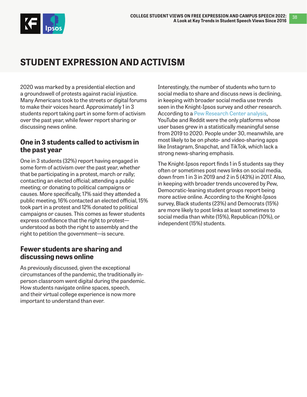<span id="page-37-0"></span>

## **STUDENT EXPRESSION AND ACTIVISM**

2020 was marked by a presidential election and a groundswell of protests against racial injustice. Many Americans took to the streets or digital forums to make their voices heard. Approximately 1 in 3 students report taking part in some form of activism over the past year, while fewer report sharing or discussing news online.

## **One in 3 students called to activism in the past year**

One in 3 students (32%) report having engaged in some form of activism over the past year, whether that be participating in a protest, march or rally; contacting an elected official; attending a public meeting; or donating to political campaigns or causes. More specifically, 17% said they attended a public meeting, 16% contacted an elected official, 15% took part in a protest and 12% donated to political campaigns or causes. This comes as fewer students express confidence that the right to protest understood as both the right to assembly and the right to petition the government—is secure.

## **Fewer students are sharing and discussing news online**

As previously discussed, given the exceptional circumstances of the pandemic, the traditionally inperson classroom went digital during the pandemic. How students navigate online spaces, speech, and their virtual college experience is now more important to understand than ever.

Interestingly, the number of students who turn to social media to share and discuss news is declining, in keeping with broader social media use trends seen in the Knight-Ipsos survey and other research. According to a [Pew Research Center analysis,](https://www.pewresearch.org/internet/2021/04/07/social-media-use-in-2021/) YouTube and Reddit were the only platforms whose user bases grew in a statistically meaningful sense from 2019 to 2020. People under 30, meanwhile, are most likely to be on photo- and video-sharing apps like Instagram, Snapchat, and TikTok, which lack a strong news-sharing emphasis.

The Knight-Ipsos report finds 1 in 5 students say they often or sometimes post news links on social media, down from 1 in 3 in 2019 and 2 in 5 (43%) in 2017. Also, in keeping with broader trends uncovered by Pew, Democratic-leaning student groups report being more active online. According to the Knight-Ipsos survey, Black students (23%) and Democrats (15%) are more likely to post links at least sometimes to social media than white (15%), Republican (10%), or independent (15%) students.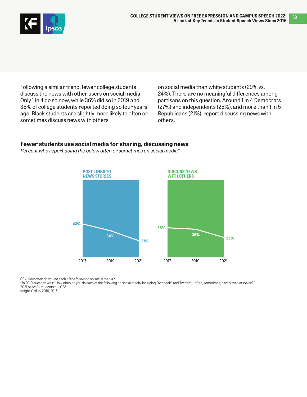

Following a similar trend, fewer college students discuss the news with other users on social media. Only 1 in 4 do so now, while 36% did so in 2019 and 38% of college students reported doing so four years ago. Black students are slightly more likely to often or sometimes discuss news with others

on social media than white students (29% vs. 24%). There are no meaningful differences among partisans on this question. Around 1 in 4 Democrats (27%) and independents (25%), and more than 1 in 5 Republicans (21%), report discussing news with others.

### **Fewer students use social media for sharing, discussing news**

Percent who report doing the below often or sometimes on social media\*



Q34. How often do you do each of the following on social media?

\*In 2019 question was: "How often do you do each of the following on social media, including Facebook® and Twitter®—often, sometimes, hardly ever, or never?" 2021 base: All students n=1,023

Knight-Gallup, 2019, 2017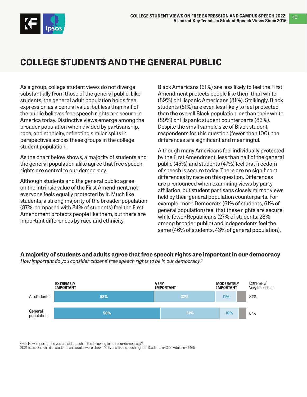<span id="page-39-0"></span>

## **COLLEGE STUDENTS AND THE GENERAL PUBLIC**

As a group, college student views do not diverge substantially from those of the general public. Like students, the general adult population holds free expression as a central value, but less than half of the public believes free speech rights are secure in America today. Distinctive views emerge among the broader population when divided by partisanship, race, and ethnicity, reflecting similar splits in perspectives across these groups in the college student population.

As the chart below shows, a majority of students and the general population alike agree that free speech rights are central to our democracy.

Although students and the general public agree on the intrinsic value of the First Amendment, not everyone feels equally protected by it. Much like students, a strong majority of the broader population (87%, compared with 84% of students) feel the First Amendment protects people like them, but there are important differences by race and ethnicity.

Black Americans (61%) are less likely to feel the First Amendment protects people like them than white (89%) or Hispanic Americans (81%). Strikingly, Black students (51%) are even less likely to feel protected than the overall Black population, or than their white (89%) or Hispanic student counterparts (83%). Despite the small sample size of Black student respondents for this question (fewer than 100), the differences are significant and meaningful.

Although many Americans feel individually protected by the First Amendment, less than half of the general public (45%) and students (47%) feel that freedom of speech is secure today. There are no significant differences by race on this question. Differences are pronounced when examining views by party affiliation, but student partisans closely mirror views held by their general population counterparts. For example, more Democrats (61% of students, 61% of general population) feel that these rights are secure, while fewer Republicans (27% of students, 28% among broader public) and independents feel the same (46% of students, 43% of general population).

#### **A majority of students and adults agree that free speech rights are important in our democracy**

How important do you consider citizens' free speech rights to be in our democracy?



Q20. How important do you consider each of the following to be in our democracy?

2021 base: One-third of students and adults were shown "Citizens' free speech rights," Students n=333; Adults n= 1,465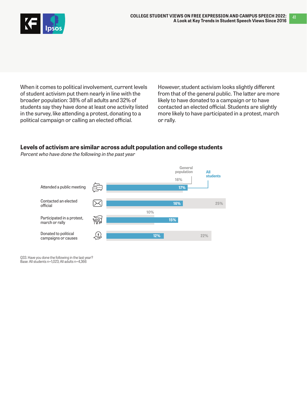

When it comes to political involvement, current levels of student activism put them nearly in line with the broader population: 38% of all adults and 32% of students say they have done at least one activity listed in the survey, like attending a protest, donating to a political campaign or calling an elected official.

However, student activism looks slightly different from that of the general public. The latter are more likely to have donated to a campaign or to have contacted an elected official. Students are slightly more likely to have participated in a protest, march or rally.

### **Levels of activism are similar across adult population and college students**

Percent who have done the following in the past year



Q33. Have you done the following in the last year? Base: All students n=1,023; All adults n=4,366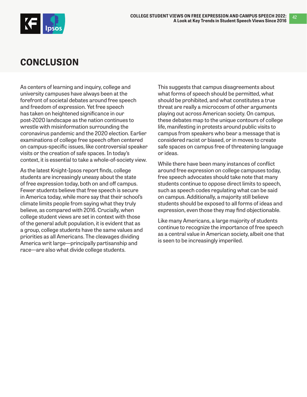<span id="page-41-0"></span>

42

## **CONCLUSION**

As centers of learning and inquiry, college and university campuses have always been at the forefront of societal debates around free speech and freedom of expression. Yet free speech has taken on heightened significance in our post-2020 landscape as the nation continues to wrestle with misinformation surrounding the coronavirus pandemic and the 2020 election. Earlier examinations of college free speech often centered on campus-specific issues, like controversial speaker visits or the creation of safe spaces. In today's context, it is essential to take a whole-of-society view.

As the latest Knight-Ipsos report finds, college students are increasingly uneasy about the state of free expression today, both on and off campus. Fewer students believe that free speech is secure in America today, while more say that their school's climate limits people from saying what they truly believe, as compared with 2016. Crucially, when college student views are set in context with those of the general adult population, it is evident that as a group, college students have the same values and priorities as all Americans. The cleavages dividing America writ large—principally partisanship and race—are also what divide college students.

This suggests that campus disagreements about what forms of speech should be permitted, what should be prohibited, and what constitutes a true threat are really a microcosm of other arguments playing out across American society. On campus, these debates map to the unique contours of college life, manifesting in protests around public visits to campus from speakers who bear a message that is considered racist or biased, or in moves to create safe spaces on campus free of threatening language or ideas.

While there have been many instances of conflict around free expression on college campuses today, free speech advocates should take note that many students continue to oppose direct limits to speech, such as speech codes regulating what can be said on campus. Additionally, a majority still believe students should be exposed to all forms of ideas and expression, even those they may find objectionable.

Like many Americans, a large majority of students continue to recognize the importance of free speech as a central value in American society, albeit one that is seen to be increasingly imperiled.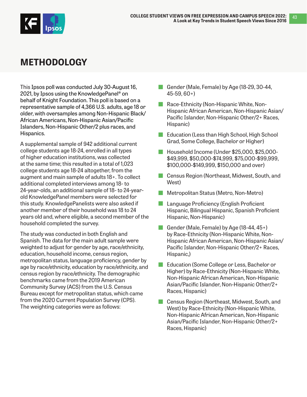<span id="page-42-0"></span>

## **METHODOLOGY**

This Ipsos poll was conducted July 30-August 16, 2021, by Ipsos using the KnowledgePanel® on behalf of Knight Foundation. This poll is based on a representative sample of 4,366 U.S. adults, age 18 or older, with oversamples among Non-Hispanic Black/ African Americans, Non-Hispanic Asian/Pacific Islanders, Non-Hispanic Other/2 plus races, and Hispanics.

A supplemental sample of 942 additional current college students age 18-24, enrolled in all types of higher education institutions, was collected at the same time; this resulted in a total of 1,023 college students age 18-24 altogether, from the augment and main sample of adults 18+. To collect additional completed interviews among 18- to 24-year-olds, an additional sample of 18- to 24-yearold KnowledgePanel members were selected for this study. KnowledgePanelists were also asked if another member of their household was 18 to 24 years old and, where eligible, a second member of the household completed the survey.

The study was conducted in both English and Spanish. The data for the main adult sample were weighted to adjust for gender by age, race/ethnicity, education, household income, census region, metropolitan status, language proficiency, gender by age by race/ethnicity, education by race/ethnicity, and census region by race/ethnicity. The demographic benchmarks came from the 2019 American Community Survey (ACS) from the U.S. Census Bureau except for metropolitan status, which came from the 2020 Current Population Survey (CPS). The weighting categories were as follows:

- Gender (Male, Female) by Age (18-29, 30-44, 45-59, 60+)
- Race-Ethnicity (Non-Hispanic White, Non-Hispanic African American, Non-Hispanic Asian/ Pacific Islander, Non-Hispanic Other/2+ Races, Hispanic)
- **Education (Less than High School, High School** Grad, Some College, Bachelor or Higher)
- Household Income (Under \$25,000, \$25,000-\$49,999, \$50,000-\$74,999, \$75,000-\$99,999, \$100,000-\$149,999, \$150,000 and over)
- **Census Region (Northeast, Midwest, South, and** West)
- Metropolitan Status (Metro, Non-Metro)
- **Language Proficiency (English Proficient** Hispanic, Bilingual Hispanic, Spanish Proficient Hispanic, Non-Hispanic)
- Gender (Male, Female) by Age (18-44, 45+) by Race-Ethnicity (Non-Hispanic White, Non-Hispanic African American, Non-Hispanic Asian/ Pacific Islander, Non-Hispanic Other/2+ Races, Hispanic,)
- Education (Some College or Less, Bachelor or Higher) by Race-Ethnicity (Non-Hispanic White, Non-Hispanic African American, Non-Hispanic Asian/Pacific Islander, Non-Hispanic Other/2+ Races, Hispanic)
- **Census Region (Northeast, Midwest, South, and** West) by Race-Ethnicity (Non-Hispanic White, Non-Hispanic African American, Non-Hispanic Asian/Pacific Islander, Non-Hispanic Other/2+ Races, Hispanic)